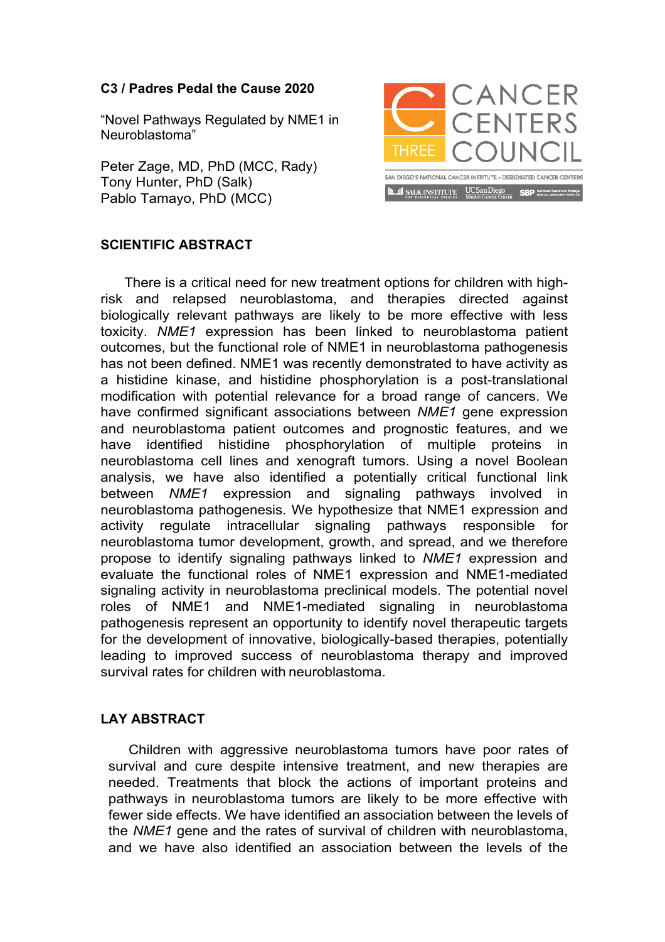## **C3 / Padres Pedal the Cause 2020**

"Novel Pathways Regulated by NME1 in Neuroblastoma"

Peter Zage, MD, PhD (MCC, Rady) Tony Hunter, PhD (Salk) Pablo Tamayo, PhD (MCC)



## **SCIENTIFIC ABSTRACT**

There is a critical need for new treatment options for children with highrisk and relapsed neuroblastoma, and therapies directed against biologically relevant pathways are likely to be more effective with less toxicity. *NME1* expression has been linked to neuroblastoma patient outcomes, but the functional role of NME1 in neuroblastoma pathogenesis has not been defined. NME1 was recently demonstrated to have activity as a histidine kinase, and histidine phosphorylation is a post-translational modification with potential relevance for a broad range of cancers. We have confirmed significant associations between *NME1* gene expression and neuroblastoma patient outcomes and prognostic features, and we have identified histidine phosphorylation of multiple proteins in neuroblastoma cell lines and xenograft tumors. Using a novel Boolean analysis, we have also identified a potentially critical functional link between *NME1* expression and signaling pathways involved in neuroblastoma pathogenesis. We hypothesize that NME1 expression and activity regulate intracellular signaling pathways responsible for neuroblastoma tumor development, growth, and spread, and we therefore propose to identify signaling pathways linked to *NME1* expression and evaluate the functional roles of NME1 expression and NME1-mediated signaling activity in neuroblastoma preclinical models. The potential novel roles of NME1 and NME1-mediated signaling in neuroblastoma pathogenesis represent an opportunity to identify novel therapeutic targets for the development of innovative, biologically-based therapies, potentially leading to improved success of neuroblastoma therapy and improved survival rates for children with neuroblastoma.

## **LAY ABSTRACT**

Children with aggressive neuroblastoma tumors have poor rates of survival and cure despite intensive treatment, and new therapies are needed. Treatments that block the actions of important proteins and pathways in neuroblastoma tumors are likely to be more effective with fewer side effects. We have identified an association between the levels of the *NME1* gene and the rates of survival of children with neuroblastoma, and we have also identified an association between the levels of the